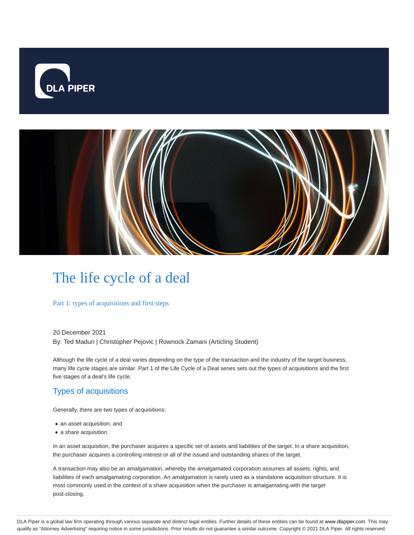



# The life cycle of a deal

Part 1: types of acquisitions and first steps

20 December 2021 By: Ted Maduri | Christopher Pejovic | Rownock Zamani (Articling Student)

Although the life cycle of a deal varies depending on the type of the transaction and the industry of the target business, many life cycle stages are similar. Part 1 of the Life Cycle of a Deal series sets out the types of acquisitions and the first five stages of a deal's life cycle.

## Types of acquisitions

Generally, there are two types of acquisitions:

- an asset acquisition; and
- a share acquisition.

In an asset acquisition, the purchaser acquires a specific set of assets and liabilities of the target. In a share acquisition, the purchaser acquires a controlling interest or all of the issued and outstanding shares of the target.

A transaction may also be an amalgamation, whereby the amalgamated corporation assumes all assets, rights, and liabilities of each amalgamating corporation. An amalgamation is rarely used as a standalone acquisition structure. It is most commonly used in the context of a share acquisition when the purchaser is amalgamating with the target post-closing.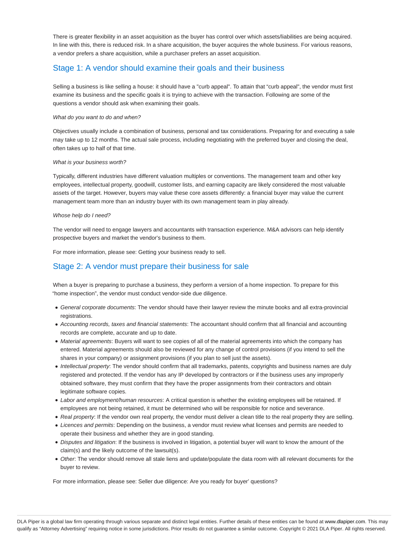There is greater flexibility in an asset acquisition as the buyer has control over which assets/liabilities are being acquired. In line with this, there is reduced risk. In a share acquisition, the buyer acquires the whole business. For various reasons, a vendor prefers a share acquisition, while a purchaser prefers an asset acquisition.

## Stage 1: A vendor should examine their goals and their business

Selling a business is like selling a house: it should have a "curb appeal". To attain that "curb appeal", the vendor must first examine its business and the specific goals it is trying to achieve with the transaction. Following are some of the questions a vendor should ask when examining their goals.

#### What do you want to do and when?

Objectives usually include a combination of business, personal and tax considerations. Preparing for and executing a sale may take up to 12 months. The actual sale process, including negotiating with the preferred buyer and closing the deal, often takes up to half of that time.

#### What is your business worth?

Typically, different industries have different valuation multiples or conventions. The management team and other key employees, intellectual property, goodwill, customer lists, and earning capacity are likely considered the most valuable assets of the target. However, buyers may value these core assets differently: a financial buyer may value the current management team more than an industry buyer with its own management team in play already.

#### Whose help do I need?

The vendor will need to engage lawyers and accountants with transaction experience. M&A advisors can help identify prospective buyers and market the vendor's business to them.

For more information, please see: Getting your business ready to sell.

## Stage 2: A vendor must prepare their business for sale

When a buyer is preparing to purchase a business, they perform a version of a home inspection. To prepare for this "home inspection", the vendor must conduct vendor-side due diligence.

- General corporate documents: The vendor should have their lawyer review the minute books and all extra-provincial registrations.
- Accounting records, taxes and financial statements: The accountant should confirm that all financial and accounting records are complete, accurate and up to date.
- Material agreements: Buyers will want to see copies of all of the material agreements into which the company has entered. Material agreements should also be reviewed for any change of control provisions (if you intend to sell the shares in your company) or assignment provisions (if you plan to sell just the assets).
- Intellectual property: The vendor should confirm that all trademarks, patents, copyrights and business names are duly registered and protected. If the vendor has any IP developed by contractors or if the business uses any improperly obtained software, they must confirm that they have the proper assignments from their contractors and obtain legitimate software copies.
- Labor and employment/human resources: A critical question is whether the existing employees will be retained. If employees are not being retained, it must be determined who will be responsible for notice and severance.
- Real property: If the vendor own real property, the vendor must deliver a clean title to the real property they are selling.
- Licences and permits: Depending on the business, a vendor must review what licenses and permits are needed to operate their business and whether they are in good standing.
- Disputes and litigation: If the business is involved in litigation, a potential buyer will want to know the amount of the claim(s) and the likely outcome of the lawsuit(s).
- Other: The vendor should remove all stale liens and update/populate the data room with all relevant documents for the buyer to review.

For more information, please see: Seller due diligence: Are you ready for buyer' questions?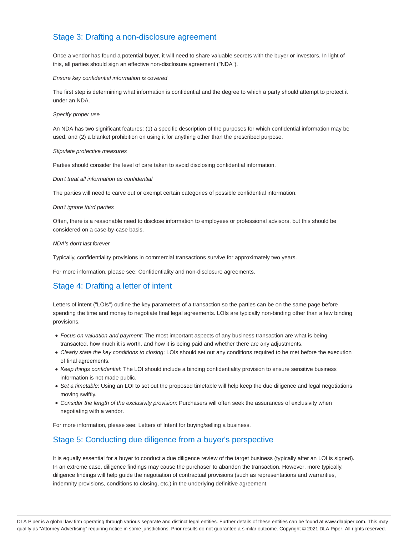## Stage 3: Drafting a non-disclosure agreement

Once a vendor has found a potential buyer, it will need to share valuable secrets with the buyer or investors. In light of this, all parties should sign an effective non-disclosure agreement ("NDA").

Ensure key confidential information is covered

The first step is determining what information is confidential and the degree to which a party should attempt to protect it under an NDA.

#### Specify proper use

An NDA has two significant features: (1) a specific description of the purposes for which confidential information may be used, and (2) a blanket prohibition on using it for anything other than the prescribed purpose.

#### Stipulate protective measures

Parties should consider the level of care taken to avoid disclosing confidential information.

#### Don't treat all information as confidential

The parties will need to carve out or exempt certain categories of possible confidential information.

#### Don't ignore third parties

Often, there is a reasonable need to disclose information to employees or professional advisors, but this should be considered on a case-by-case basis.

#### NDA's don't last forever

Typically, confidentiality provisions in commercial transactions survive for approximately two years.

For more information, please see: Confidentiality and non-disclosure agreements.

## Stage 4: Drafting a letter of intent

Letters of intent ("LOIs") outline the key parameters of a transaction so the parties can be on the same page before spending the time and money to negotiate final legal agreements. LOIs are typically non-binding other than a few binding provisions.

- Focus on valuation and payment: The most important aspects of any business transaction are what is being transacted, how much it is worth, and how it is being paid and whether there are any adjustments.
- Clearly state the key conditions to closing: LOIs should set out any conditions required to be met before the execution of final agreements.
- Keep things confidential: The LOI should include a binding confidentiality provision to ensure sensitive business information is not made public.
- Set a timetable: Using an LOI to set out the proposed timetable will help keep the due diligence and legal negotiations moving swiftly.
- Consider the length of the exclusivity provision: Purchasers will often seek the assurances of exclusivity when negotiating with a vendor.

For more information, please see: Letters of Intent for buying/selling a business.

## Stage 5: Conducting due diligence from a buyer's perspective

It is equally essential for a buyer to conduct a due diligence review of the target business (typically after an LOI is signed). In an extreme case, diligence findings may cause the purchaser to abandon the transaction. However, more typically, diligence findings will help guide the negotiation of contractual provisions (such as representations and warranties, indemnity provisions, conditions to closing, etc.) in the underlying definitive agreement.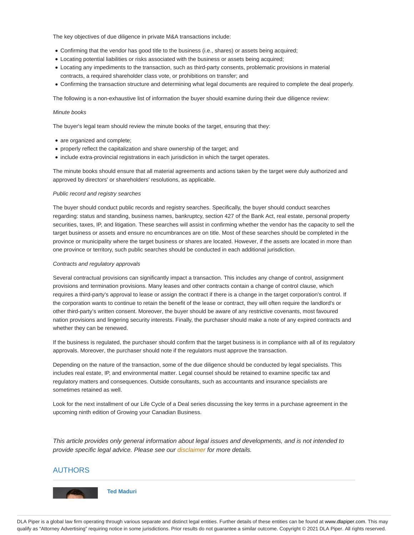The key objectives of due diligence in private M&A transactions include:

- Confirming that the vendor has good title to the business (i.e., shares) or assets being acquired;
- Locating potential liabilities or risks associated with the business or assets being acquired;
- Locating any impediments to the transaction, such as third-party consents, problematic provisions in material contracts, a required shareholder class vote, or prohibitions on transfer; and
- Confirming the transaction structure and determining what legal documents are required to complete the deal properly.

The following is a non-exhaustive list of information the buyer should examine during their due diligence review:

#### Minute books

The buyer's legal team should review the minute books of the target, ensuring that they:

- are organized and complete;
- properly reflect the capitalization and share ownership of the target; and
- include extra-provincial registrations in each jurisdiction in which the target operates.

The minute books should ensure that all material agreements and actions taken by the target were duly authorized and approved by directors' or shareholders' resolutions, as applicable.

#### Public record and registry searches

The buyer should conduct public records and registry searches. Specifically, the buyer should conduct searches regarding: status and standing, business names, bankruptcy, section 427 of the Bank Act, real estate, personal property securities, taxes, IP, and litigation. These searches will assist in confirming whether the vendor has the capacity to sell the target business or assets and ensure no encumbrances are on title. Most of these searches should be completed in the province or municipality where the target business or shares are located. However, if the assets are located in more than one province or territory, such public searches should be conducted in each additional jurisdiction.

#### Contracts and regulatory approvals

Several contractual provisions can significantly impact a transaction. This includes any change of control, assignment provisions and termination provisions. Many leases and other contracts contain a change of control clause, which requires a third-party's approval to lease or assign the contract if there is a change in the target corporation's control. If the corporation wants to continue to retain the benefit of the lease or contract, they will often require the landlord's or other third-party's written consent. Moreover, the buyer should be aware of any restrictive covenants, most favoured nation provisions and lingering security interests. Finally, the purchaser should make a note of any expired contracts and whether they can be renewed.

If the business is regulated, the purchaser should confirm that the target business is in compliance with all of its regulatory approvals. Moreover, the purchaser should note if the regulators must approve the transaction.

Depending on the nature of the transaction, some of the due diligence should be conducted by legal specialists. This includes real estate, IP, and environmental matter. Legal counsel should be retained to examine specific tax and regulatory matters and consequences. Outside consultants, such as accountants and insurance specialists are sometimes retained as well.

Look for the next installment of our Life Cycle of a Deal series discussing the key terms in a purchase agreement in the upcoming ninth edition of Growing your Canadian Business.

This article provides only general information about legal issues and developments, and is not intended to provide specific legal advice. Please see our disclaimer for more details.

### AUTHORS



**Ted Maduri**

DLA Piper is a global law firm operating through various separate and distinct legal entities. Further details of these entities can be found at www.dlapiper.com. This may qualify as "Attorney Advertising" requiring notice in some jurisdictions. Prior results do not guarantee a similar outcome. Copyright © 2021 DLA Piper. All rights reserved.